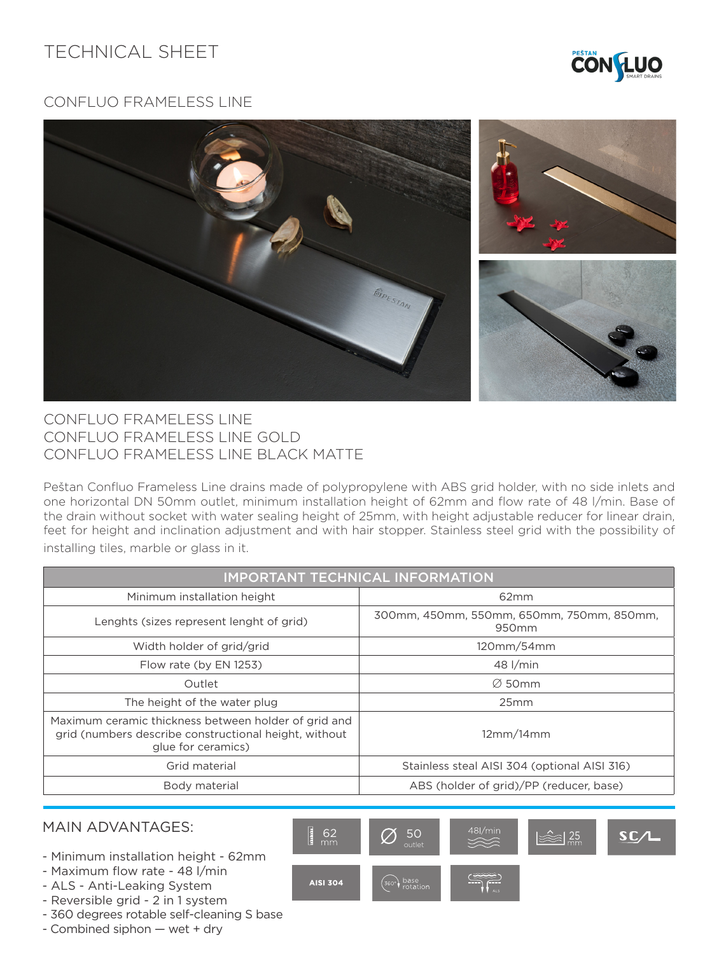## TECHNICAL SHEET



## CONFLUO FRAMELESS LINE



## CONFLUO FRAMELESS LINE CONFLUO FRAMELESS LINE GOLD CONFLUO FRAMELESS LINE BLACK MATTE

Peštan Confluo Frameless Line drains made of polypropylene with ABS grid holder, with no side inlets and one horizontal DN 50mm outlet, minimum installation height of 62mm and flow rate of 48 l/min. Base of the drain without socket with water sealing height of 25mm, with height adjustable reducer for linear drain, feet for height and inclination adjustment and with hair stopper. Stainless steel grid with the possibility of installing tiles, marble or glass in it.

| <b>IMPORTANT TECHNICAL INFORMATION</b>                                                                                              |                                                                |  |  |
|-------------------------------------------------------------------------------------------------------------------------------------|----------------------------------------------------------------|--|--|
| Minimum installation height                                                                                                         | 62mm                                                           |  |  |
| Lenghts (sizes represent lenght of grid)                                                                                            | 300mm, 450mm, 550mm, 650mm, 750mm, 850mm,<br>950 <sub>mm</sub> |  |  |
| Width holder of grid/grid                                                                                                           | 120mm/54mm                                                     |  |  |
| Flow rate (by EN 1253)                                                                                                              | 48 l/min                                                       |  |  |
| Outlet                                                                                                                              | $\varnothing$ 50mm                                             |  |  |
| The height of the water plug                                                                                                        | 25mm                                                           |  |  |
| Maximum ceramic thickness between holder of grid and<br>grid (numbers describe constructional height, without<br>glue for ceramics) | 12mm/14mm                                                      |  |  |
| Grid material                                                                                                                       | Stainless steal AISI 304 (optional AISI 316)                   |  |  |
| Body material                                                                                                                       | ABS (holder of grid)/PP (reducer, base)                        |  |  |

## MAIN ADVANTAGES:

- Minimum installation height 62mm
- Maximum flow rate 48 l/min
- ALS Anti-Leaking System
- Reversible grid 2 in 1 system
- 360 degrees rotable self-cleaning S base
- Combined siphon wet + dry

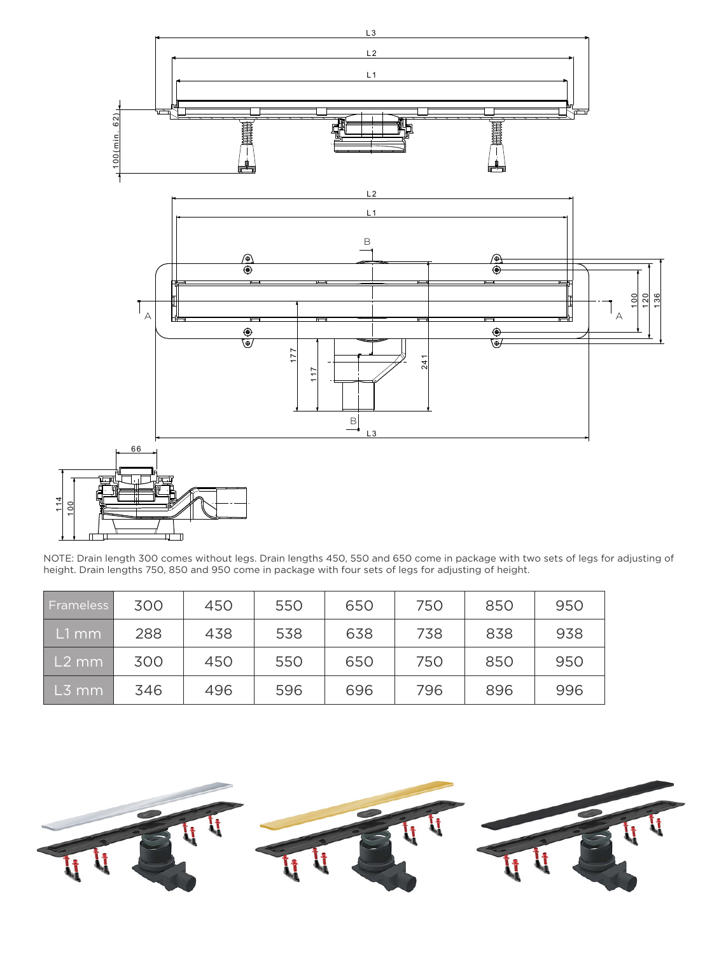

NOTE: Drain length 300 comes without legs. Drain lengths 450, 550 and 650 come in package with two sets of legs for adjusting of height. Drain lengths 750, 850 and 950 come in package with four sets of legs for adjusting of height.

| Frameless         | 300 | 450 | 550 | 650 | 750 | 850 | 950 |
|-------------------|-----|-----|-----|-----|-----|-----|-----|
| L1 mm             | 288 | 438 | 538 | 638 | 738 | 838 | 938 |
| L <sub>2</sub> mm | 300 | 450 | 550 | 650 | 750 | 850 | 950 |
| L3 mm             | 346 | 496 | 596 | 696 | 796 | 896 | 996 |

 $\overline{\phantom{a}}$ 1 4